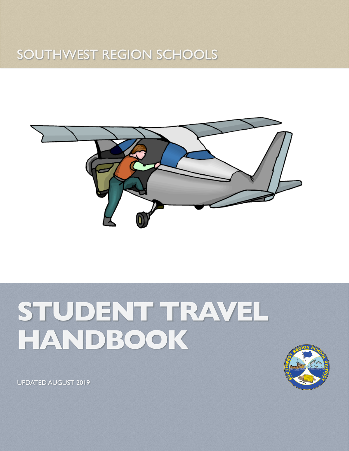## SOUTHWEST REGION SCHOOLS



# **STUDENT TRAVEL HANDBOOK**



UPDATED AUGUST 2019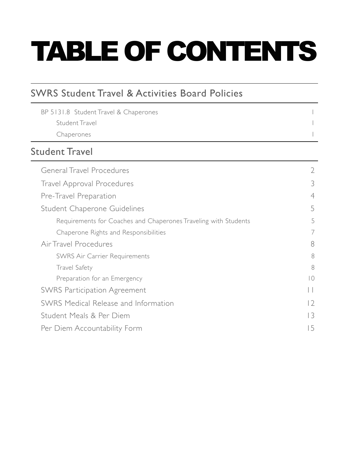# TABLE OF CONTENTS

| BP 5131.8 Student Travel & Chaperones |  |
|---------------------------------------|--|
| Student Travel                        |  |
| Chaperones                            |  |

### [Student Travel](#page-3-0)

| <b>General Travel Procedures</b>                                |                          |  |  |
|-----------------------------------------------------------------|--------------------------|--|--|
| <b>Travel Approval Procedures</b>                               |                          |  |  |
| Pre-Travel Preparation                                          |                          |  |  |
| Student Chaperone Guidelines                                    |                          |  |  |
| Requirements for Coaches and Chaperones Traveling with Students | 5                        |  |  |
| Chaperone Rights and Responsibilities                           | 7                        |  |  |
| Air Travel Procedures                                           | 8                        |  |  |
| <b>SWRS Air Carrier Requirements</b>                            | 8                        |  |  |
| <b>Travel Safety</b>                                            | 8                        |  |  |
| Preparation for an Emergency                                    | $\overline{\phantom{0}}$ |  |  |
| <b>SWRS Participation Agreement</b>                             | $\vert \ \vert$          |  |  |
| SWRS Medical Release and Information                            | 2                        |  |  |
| Student Meals & Per Diem                                        |                          |  |  |
| Per Diem Accountability Form                                    |                          |  |  |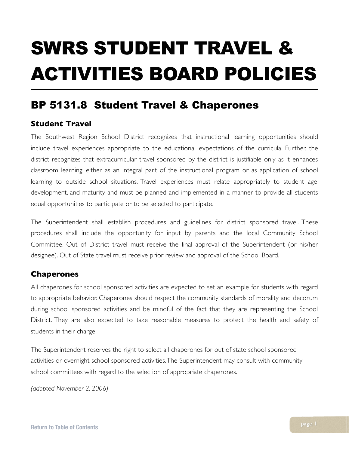# <span id="page-2-0"></span>SWRS STUDENT TRAVEL & ACTIVITIES BOARD POLICIES

### <span id="page-2-1"></span>BP 5131.8 Student Travel & Chaperones

### <span id="page-2-2"></span>**Student Travel**

The Southwest Region School District recognizes that instructional learning opportunities should include travel experiences appropriate to the educational expectations of the curricula. Further, the district recognizes that extracurricular travel sponsored by the district is justifiable only as it enhances classroom learning, either as an integral part of the instructional program or as application of school learning to outside school situations. Travel experiences must relate appropriately to student age, development, and maturity and must be planned and implemented in a manner to provide all students equal opportunities to participate or to be selected to participate.

The Superintendent shall establish procedures and guidelines for district sponsored travel. These procedures shall include the opportunity for input by parents and the local Community School Committee. Out of District travel must receive the final approval of the Superintendent (or his/her designee). Out of State travel must receive prior review and approval of the School Board.

#### <span id="page-2-3"></span>**Chaperones**

All chaperones for school sponsored activities are expected to set an example for students with regard to appropriate behavior. Chaperones should respect the community standards of morality and decorum during school sponsored activities and be mindful of the fact that they are representing the School District. They are also expected to take reasonable measures to protect the health and safety of students in their charge.

The Superintendent reserves the right to select all chaperones for out of state school sponsored activities or overnight school sponsored activities. The Superintendent may consult with community school committees with regard to the selection of appropriate chaperones.

*(adopted November 2, 2006)*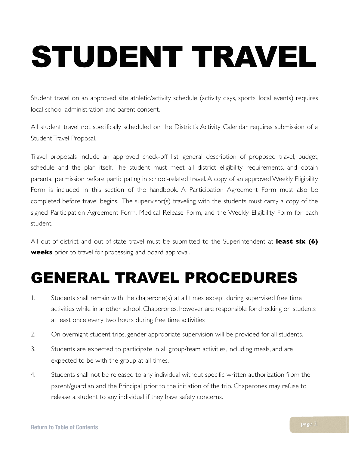# <span id="page-3-0"></span>STUDENT TRAVEL

Student travel on an approved site athletic/activity schedule (activity days, sports, local events) requires local school administration and parent consent.

All student travel not specifically scheduled on the District's Activity Calendar requires submission of a Student Travel Proposal.

Travel proposals include an approved check-off list, general description of proposed travel, budget, schedule and the plan itself. The student must meet all district eligibility requirements, and obtain parental permission before participating in school-related travel. A copy of an approved Weekly Eligibility Form is included in this section of the handbook. A Participation Agreement Form must also be completed before travel begins. The supervisor(s) traveling with the students must carry a copy of the signed Participation Agreement Form, Medical Release Form, and the Weekly Eligibility Form for each student.

All out-of-district and out-of-state travel must be submitted to the Superintendent at **least six (6) weeks** prior to travel for processing and board approval.

## <span id="page-3-1"></span>GENERAL TRAVEL PROCEDURES

- 1. Students shall remain with the chaperone(s) at all times except during supervised free time activities while in another school. Chaperones, however, are responsible for checking on students at least once every two hours during free time activities
- 2. On overnight student trips, gender appropriate supervision will be provided for all students.
- 3. Students are expected to participate in all group/team activities, including meals, and are expected to be with the group at all times.
- 4. Students shall not be released to any individual without specific written authorization from the parent/guardian and the Principal prior to the initiation of the trip. Chaperones may refuse to release a student to any individual if they have safety concerns.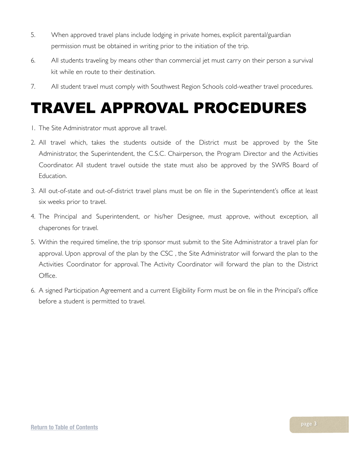- 5. When approved travel plans include lodging in private homes, explicit parental/guardian permission must be obtained in writing prior to the initiation of the trip.
- 6. All students traveling by means other than commercial jet must carry on their person a survival kit while en route to their destination.
- 7. All student travel must comply with Southwest Region Schools cold-weather travel procedures.

## <span id="page-4-0"></span>TRAVEL APPROVAL PROCEDURES

- 1. The Site Administrator must approve all travel.
- 2. All travel which, takes the students outside of the District must be approved by the Site Administrator, the Superintendent, the C.S.C. Chairperson, the Program Director and the Activities Coordinator. All student travel outside the state must also be approved by the SWRS Board of Education.
- 3. All out-of-state and out-of-district travel plans must be on file in the Superintendent's office at least six weeks prior to travel.
- 4. The Principal and Superintendent, or his/her Designee, must approve, without exception, all chaperones for travel.
- 5. Within the required timeline, the trip sponsor must submit to the Site Administrator a travel plan for approval. Upon approval of the plan by the CSC , the Site Administrator will forward the plan to the Activities Coordinator for approval. The Activity Coordinator will forward the plan to the District Office.
- 6. A signed Participation Agreement and a current Eligibility Form must be on file in the Principal's office before a student is permitted to travel.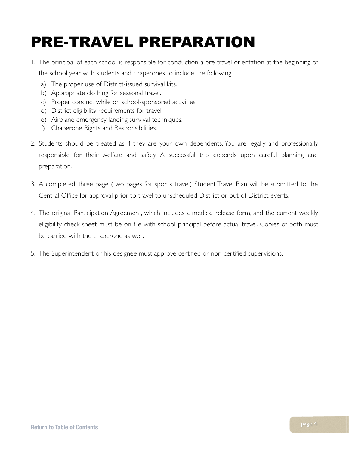# <span id="page-5-0"></span>PRE-TRAVEL PREPARATION

- 1. The principal of each school is responsible for conduction a pre-travel orientation at the beginning of the school year with students and chaperones to include the following:
	- a) The proper use of District-issued survival kits.
	- b) Appropriate clothing for seasonal travel.
	- c) Proper conduct while on school-sponsored activities.
	- d) District eligibility requirements for travel.
	- e) Airplane emergency landing survival techniques.
	- f) Chaperone Rights and Responsibilities.
- 2. Students should be treated as if they are your own dependents. You are legally and professionally responsible for their welfare and safety. A successful trip depends upon careful planning and preparation.
- 3. A completed, three page (two pages for sports travel) Student Travel Plan will be submitted to the Central Office for approval prior to travel to unscheduled District or out-of-District events.
- 4. The original Participation Agreement, which includes a medical release form, and the current weekly eligibility check sheet must be on file with school principal before actual travel. Copies of both must be carried with the chaperone as well.
- 5. The Superintendent or his designee must approve certified or non-certified supervisions.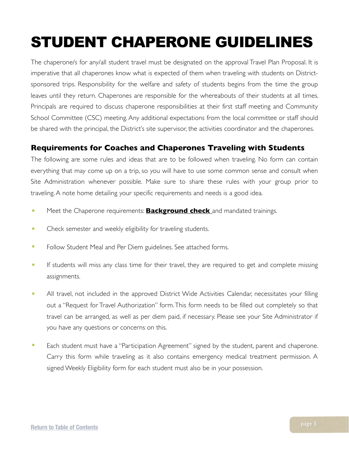# <span id="page-6-0"></span>STUDENT CHAPERONE GUIDELINES

The chaperone/s for any/all student travel must be designated on the approval Travel Plan Proposal. It is imperative that all chaperones know what is expected of them when traveling with students on Districtsponsored trips. Responsibility for the welfare and safety of students begins from the time the group leaves until they return. Chaperones are responsible for the whereabouts of their students at all times. Principals are required to discuss chaperone responsibilities at their first staff meeting and Community School Committee (CSC) meeting. Any additional expectations from the local committee or staff should be shared with the principal, the District's site supervisor, the activities coordinator and the chaperones.

### <span id="page-6-1"></span>**Requirements for Coaches and Chaperones Traveling with Students**

The following are some rules and ideas that are to be followed when traveling. No form can contain everything that may come up on a trip, so you will have to use some common sense and consult when Site Administration whenever possible. Make sure to share these rules with your group prior to traveling. A note home detailing your specific requirements and needs is a good idea.

- Meet the Chaperone requirements: **Background check** and mandated trainings.
- Check semester and weekly eligibility for traveling students.
- Follow Student Meal and Per Diem guidelines. See attached forms.
- If students will miss any class time for their travel, they are required to get and complete missing assignments.
- All travel, not included in the approved District Wide Activities Calendar, necessitates your filling out a "Request for Travel Authorization" form. This form needs to be filled out completely so that travel can be arranged, as well as per diem paid, if necessary. Please see your Site Administrator if you have any questions or concerns on this.
- Each student must have a "Participation Agreement" signed by the student, parent and chaperone. Carry this form while traveling as it also contains emergency medical treatment permission. A signed Weekly Eligibility form for each student must also be in your possession.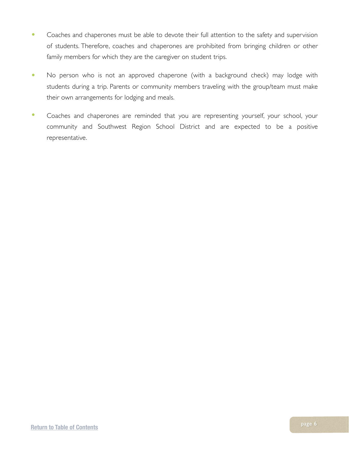- Coaches and chaperones must be able to devote their full attention to the safety and supervision of students. Therefore, coaches and chaperones are prohibited from bringing children or other family members for which they are the caregiver on student trips.
- No person who is not an approved chaperone (with a background check) may lodge with students during a trip. Parents or community members traveling with the group/team must make their own arrangements for lodging and meals.
- Coaches and chaperones are reminded that you are representing yourself, your school, your community and Southwest Region School District and are expected to be a positive representative.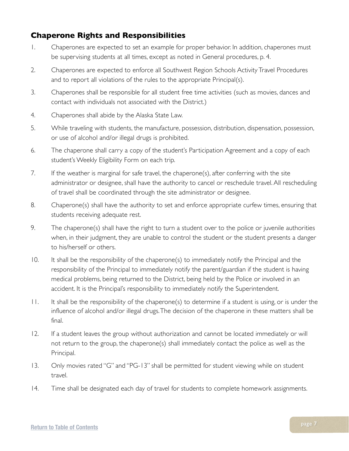### <span id="page-8-0"></span>**Chaperone Rights and Responsibilities**

- 1. Chaperones are expected to set an example for proper behavior. In addition, chaperones must be supervising students at all times, except as noted in General procedures, p. 4.
- 2. Chaperones are expected to enforce all Southwest Region Schools Activity Travel Procedures and to report all violations of the rules to the appropriate Principal(s).
- 3. Chaperones shall be responsible for all student free time activities (such as movies, dances and contact with individuals not associated with the District.)
- 4. Chaperones shall abide by the Alaska State Law.
- 5. While traveling with students, the manufacture, possession, distribution, dispensation, possession, or use of alcohol and/or illegal drugs is prohibited.
- 6. The chaperone shall carry a copy of the student's Participation Agreement and a copy of each student's Weekly Eligibility Form on each trip.
- 7. If the weather is marginal for safe travel, the chaperone(s), after conferring with the site administrator or designee, shall have the authority to cancel or reschedule travel. All rescheduling of travel shall be coordinated through the site administrator or designee.
- 8. Chaperone(s) shall have the authority to set and enforce appropriate curfew times, ensuring that students receiving adequate rest.
- 9. The chaperone(s) shall have the right to turn a student over to the police or juvenile authorities when, in their judgment, they are unable to control the student or the student presents a danger to his/herself or others.
- 10. It shall be the responsibility of the chaperone(s) to immediately notify the Principal and the responsibility of the Principal to immediately notify the parent/guardian if the student is having medical problems, being returned to the District, being held by the Police or involved in an accident. It is the Principal's responsibility to immediately notify the Superintendent.
- 11. It shall be the responsibility of the chaperone(s) to determine if a student is using, or is under the influence of alcohol and/or illegal drugs. The decision of the chaperone in these matters shall be final.
- 12. If a student leaves the group without authorization and cannot be located immediately or will not return to the group, the chaperone(s) shall immediately contact the police as well as the Principal.
- 13. Only movies rated "G" and "PG-13" shall be permitted for student viewing while on student travel.
- 14. Time shall be designated each day of travel for students to complete homework assignments.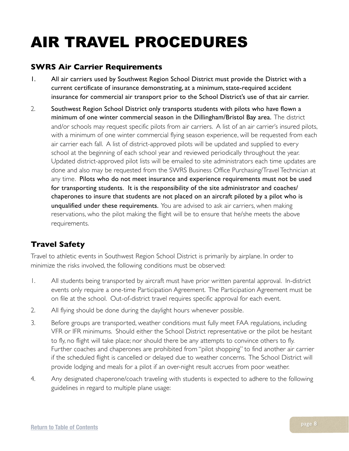# <span id="page-9-0"></span>AIR TRAVEL PROCEDURES

### <span id="page-9-1"></span>**SWRS Air Carrier Requirements**

- 1. All air carriers used by Southwest Region School District must provide the District with a current certificate of insurance demonstrating, at a minimum, state-required accident insurance for commercial air transport prior to the School District's use of that air carrier.
- 2. Southwest Region School District only transports students with pilots who have flown a minimum of one winter commercial season in the Dillingham/Bristol Bay area. The district and/or schools may request specific pilots from air carriers. A list of an air carrier's insured pilots, with a minimum of one winter commercial flying season experience, will be requested from each air carrier each fall. A list of district-approved pilots will be updated and supplied to every school at the beginning of each school year and reviewed periodically throughout the year. Updated district-approved pilot lists will be emailed to site administrators each time updates are done and also may be requested from the SWRS Business Office Purchasing/Travel Technician at any time. Pilots who do not meet insurance and experience requirements must not be used for transporting students. It is the responsibility of the site administrator and coaches/ chaperones to insure that students are not placed on an aircraft piloted by a pilot who is unqualified under these requirements. You are advised to ask air carriers, when making reservations, who the pilot making the flight will be to ensure that he/she meets the above requirements.

### <span id="page-9-2"></span>**Travel Safety**

Travel to athletic events in Southwest Region School District is primarily by airplane. In order to minimize the risks involved, the following conditions must be observed:

- 1. All students being transported by aircraft must have prior written parental approval. In-district events only require a one-time Participation Agreement. The Participation Agreement must be on file at the school. Out-of-district travel requires specific approval for each event.
- 2. All flying should be done during the daylight hours whenever possible.
- 3. Before groups are transported, weather conditions must fully meet FAA regulations, including VFR or IFR minimums. Should either the School District representative or the pilot be hesitant to fly, no flight will take place; nor should there be any attempts to convince others to fly. Further coaches and chaperones are prohibited from "pilot shopping" to find another air carrier if the scheduled flight is cancelled or delayed due to weather concerns. The School District will provide lodging and meals for a pilot if an over-night result accrues from poor weather.
- 4. Any designated chaperone/coach traveling with students is expected to adhere to the following guidelines in regard to multiple plane usage: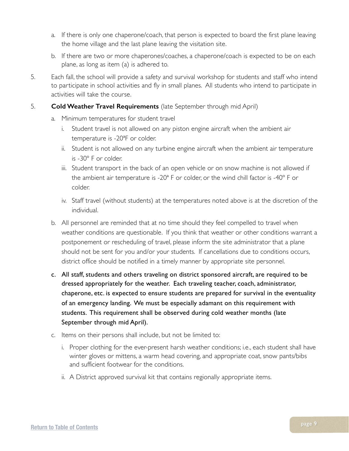- a. If there is only one chaperone/coach, that person is expected to board the first plane leaving the home village and the last plane leaving the visitation site.
- b. If there are two or more chaperones/coaches, a chaperone/coach is expected to be on each plane, as long as item (a) is adhered to.
- 5. Each fall, the school will provide a safety and survival workshop for students and staff who intend to participate in school activities and fly in small planes. All students who intend to participate in activities will take the course.
- 5. **Cold Weather Travel Requirements** (late September through mid April)
	- a. Minimum temperatures for student travel
		- i. Student travel is not allowed on any piston engine aircraft when the ambient air temperature is -20ªF or colder.
		- ii. Student is not allowed on any turbine engine aircraft when the ambient air temperature is -30º F or colder.
		- iii. Student transport in the back of an open vehicle or on snow machine is not allowed if the ambient air temperature is -20ª F or colder, or the wind chill factor is -40º F or colder.
		- iv. Staff travel (without students) at the temperatures noted above is at the discretion of the individual.
	- b. All personnel are reminded that at no time should they feel compelled to travel when weather conditions are questionable. If you think that weather or other conditions warrant a postponement or rescheduling of travel, please inform the site administrator that a plane should not be sent for you and/or your students. If cancellations due to conditions occurs, district office should be notified in a timely manner by appropriate site personnel.
	- c. All staff, students and others traveling on district sponsored aircraft, are required to be dressed appropriately for the weather. Each traveling teacher, coach, administrator, chaperone, etc. is expected to ensure students are prepared for survival in the eventuality of an emergency landing. We must be especially adamant on this requirement with students. This requirement shall be observed during cold weather months (late September through mid April).
	- c. Items on their persons shall include, but not be limited to:
		- i. Proper clothing for the ever-present harsh weather conditions; i.e., each student shall have winter gloves or mittens, a warm head covering, and appropriate coat, snow pants/bibs and sufficient footwear for the conditions.
		- ii. A District approved survival kit that contains regionally appropriate items.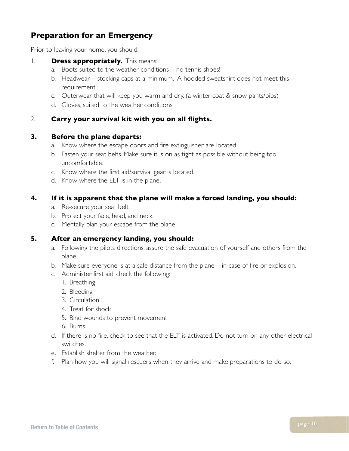### <span id="page-11-0"></span>**Preparation for an Emergency**

Prior to leaving your home, you should:

#### 1. **Dress appropriately.** This means:

- a. Boots suited to the weather conditions no tennis shoes!
- b. Headwear stocking caps at a minimum. A hooded sweatshirt does not meet this requirement.
- c. Outerwear that will keep you warm and dry. (a winter coat & snow pants/bibs)
- d. Gloves, suited to the weather conditions.

#### 2. **Carry your survival kit with you on all flights.**

#### **3. Before the plane departs:**

- a. Know where the escape doors and fire extinguisher are located.
- b. Fasten your seat belts. Make sure it is on as tight as possible without being too uncomfortable.
- c. Know where the first aid/survival gear is located.
- d. Know where the ELT is in the plane.

#### **4. If it is apparent that the plane will make a forced landing, you should:**

- a. Re-secure your seat belt.
- b. Protect your face, head, and neck.
- c. Mentally plan your escape from the plane.

#### **5. After an emergency landing, you should:**

- a. Following the pilots directions, assure the safe evacuation of yourself and others from the plane.
- b. Make sure everyone is at a safe distance from the plane in case of fire or explosion.
- c. Administer first aid, check the following:
	- 1. Breathing
	- 2. Bleeding
	- 3. Circulation
	- 4. Treat for shock
	- 5. Bind wounds to prevent movement
	- 6. Burns
- d. If there is no fire, check to see that the ELT is activated. Do not turn on any other electrical switches.
- e. Establish shelter from the weather.
- f. Plan how you will signal rescuers when they arrive and make preparations to do so.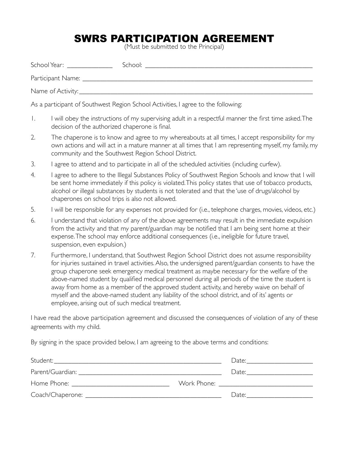### <span id="page-12-0"></span>SWRS PARTICIPATION AGREEMENT

(Must be submitted to the Principal)

| School Year: _______________                                                      | School: And the state of the state of the state of the state of the state of the state of the state of the state of the state of the state of the state of the state of the state of the state of the state of the state of th |  |  |  |  |  |  |
|-----------------------------------------------------------------------------------|--------------------------------------------------------------------------------------------------------------------------------------------------------------------------------------------------------------------------------|--|--|--|--|--|--|
|                                                                                   |                                                                                                                                                                                                                                |  |  |  |  |  |  |
|                                                                                   |                                                                                                                                                                                                                                |  |  |  |  |  |  |
| As a participant of Southwest Region School Activities, I agree to the following: |                                                                                                                                                                                                                                |  |  |  |  |  |  |

- 1. I will obey the instructions of my supervising adult in a respectful manner the first time asked. The decision of the authorized chaperone is final.
- 2. The chaperone is to know and agree to my whereabouts at all times, I accept responsibility for my own actions and will act in a mature manner at all times that I am representing myself, my family, my community and the Southwest Region School District.
- 3. I agree to attend and to participate in all of the scheduled activities (including curfew).
- 4. I agree to adhere to the Illegal Substances Policy of Southwest Region Schools and know that I will be sent home immediately if this policy is violated. This policy states that use of tobacco products, alcohol or illegal substances by students is not tolerated and that the 'use of drugs/alcohol by chaperones on school trips is also not allowed.
- 5. I will be responsible for any expenses not provided for (i.e., telephone charges, movies, videos, etc.)
- 6. I understand that violation of any of the above agreements may result in the immediate expulsion from the activity and that my parent/guardian may be notified that I am being sent home at their expense. The school may enforce additional consequences (i.e., ineligible for future travel, suspension, even expulsion.)
- 7. Furthermore, I understand, that Southwest Region School District does not assume responsibility for injuries sustained in travel activities. Also, the undersigned parent/guardian consents to have the group chaperone seek emergency medical treatment as maybe necessary for the welfare of the above-named student by qualified medical personnel during all periods of the time the student is away from home as a member of the approved student activity, and hereby waive on behalf of myself and the above-named student any liability of the school district, and of its' agents or employee, arising out of such medical treatment.

I have read the above participation agreement and discussed the consequences of violation of any of these agreements with my child.

By signing in the space provided below, I am agreeing to the above terms and conditions:

| Student:         | Date:                                    |
|------------------|------------------------------------------|
| Parent/Guardian: | Date:                                    |
|                  | Work Phone: <u>_____________________</u> |
|                  | Date:                                    |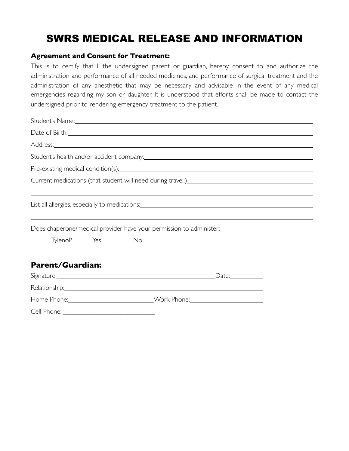### <span id="page-13-0"></span>SWRS MEDICAL RELEASE AND INFORMATION

### **Agreement and Consent for Treatment:**

This is to certify that I, the undersigned parent or guardian, hereby consent to and authorize the administration and performance of all needed medicines, and performance of surgical treatment and the administration of any anesthetic that may be necessary and advisable in the event of any medical emergencies regarding my son or daughter. It is understood that efforts shall be made to contact the undersigned prior to rendering emergency treatment to the patient.

| Date of Birth: 2008 Contract to the Second Contract of Birth:                                                                 |       |
|-------------------------------------------------------------------------------------------------------------------------------|-------|
|                                                                                                                               |       |
|                                                                                                                               |       |
|                                                                                                                               |       |
| Current medications (that student will need during travel.)<br><u>Laten and an announ and an announ announ and announ and</u> |       |
|                                                                                                                               |       |
| Does chaperone/medical provider have your permission to administer:                                                           |       |
| Tylenol?_______Yes _________No                                                                                                |       |
| <b>Parent/Guardian:</b>                                                                                                       |       |
|                                                                                                                               | Date: |

Relationship:

| Home Phone: | Work Phone: |
|-------------|-------------|

| Cell Phone: |  |  |  |
|-------------|--|--|--|
|             |  |  |  |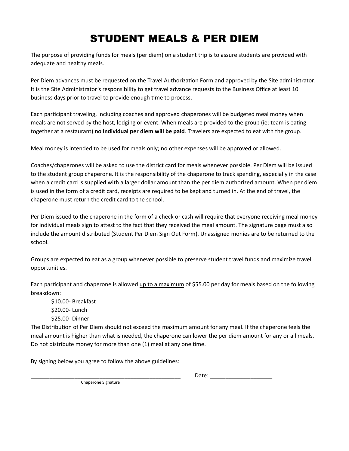### <span id="page-14-0"></span>STUDENT MEALS & PER DIEM

The purpose of providing funds for meals (per diem) on a student trip is to assure students are provided with adequate and healthy meals.

Per Diem advances must be requested on the Travel Authorization Form and approved by the Site administrator. It is the Site Administrator's responsibility to get travel advance requests to the Business Office at least 10 business days prior to travel to provide enough time to process.

Each participant traveling, including coaches and approved chaperones will be budgeted meal money when meals are not served by the host, lodging or event. When meals are provided to the group (ie: team is eating together at a restaurant) **no individual per diem will be paid**. Travelers are expected to eat with the group.

Meal money is intended to be used for meals only; no other expenses will be approved or allowed.

Coaches/chaperones will be asked to use the district card for meals whenever possible. Per Diem will be issued to the student group chaperone. It is the responsibility of the chaperone to track spending, especially in the case when a credit card is supplied with a larger dollar amount than the per diem authorized amount. When per diem is used in the form of a credit card, receipts are required to be kept and turned in. At the end of travel, the chaperone must return the credit card to the school.

Per Diem issued to the chaperone in the form of a check or cash will require that everyone receiving meal money for individual meals sign to attest to the fact that they received the meal amount. The signature page must also include the amount distributed (Student Per Diem Sign Out Form). Unassigned monies are to be returned to the school. 

Groups are expected to eat as a group whenever possible to preserve student travel funds and maximize travel opportunities.

Each participant and chaperone is allowed up to a maximum of \$55.00 per day for meals based on the following breakdown: 

\$10.00- Breakfast \$20.00- Lunch \$25.00- Dinner

The Distribution of Per Diem should not exceed the maximum amount for any meal. If the chaperone feels the meal amount is higher than what is needed, the chaperone can lower the per diem amount for any or all meals. Do not distribute money for more than one (1) meal at any one time.

By signing below you agree to follow the above guidelines:

\_\_\_\_\_\_\_\_\_\_\_\_\_\_\_\_\_\_\_\_\_\_\_\_\_\_\_\_\_\_\_\_\_\_\_\_\_\_\_\_\_\_\_\_\_\_\_\_ Date: \_\_\_\_\_\_\_\_\_\_\_\_\_\_\_\_\_\_\_\_ 

Chaperone Signature